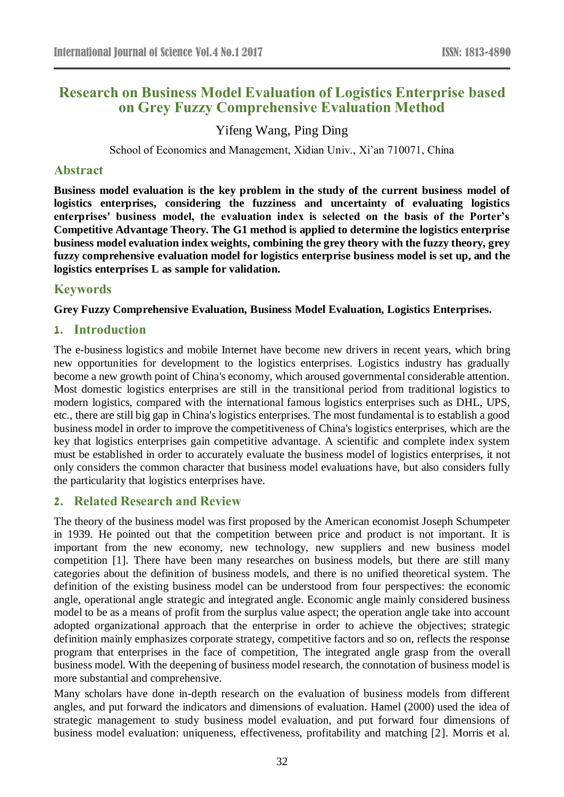# **Research on Business Model Evaluation of Logistics Enterprise based on Grey Fuzzy Comprehensive Evaluation Method**

# Yifeng Wang, Ping Ding

School of Economics and Management, Xidian Univ., Xi'an 710071, China

# **Abstract**

**Business model evaluation is the key problem in the study of the current business model of logistics enterprises, considering the fuzziness and uncertainty of evaluating logistics enterprises' business model, the evaluation index is selected on the basis of the Porter's Competitive Advantage Theory. The G1 method is applied to determine the logistics enterprise business model evaluation index weights, combining the grey theory with the fuzzy theory, grey fuzzy comprehensive evaluation model for logistics enterprise business model is set up, and the logistics enterprises L as sample for validation.**

# **Keywords**

### **Grey Fuzzy Comprehensive Evaluation, Business Model Evaluation, Logistics Enterprises.**

# **1. Introduction**

The e-business logistics and mobile Internet have become new drivers in recent years, which bring new opportunities for development to the logistics enterprises. Logistics industry has gradually become a new growth point of China's economy, which aroused governmental considerable attention. Most domestic logistics enterprises are still in the transitional period from traditional logistics to modern logistics, compared with the international famous logistics enterprises such as DHL, UPS, etc., there are still big gap in China's logistics enterprises. The most fundamental is to establish a good business model in order to improve the competitiveness of China's logistics enterprises, which are the key that logistics enterprises gain competitive advantage. A scientific and complete index system must be established in order to accurately evaluate the business model of logistics enterprises, it not only considers the common character that business model evaluations have, but also considers fully the particularity that logistics enterprises have.

# **2. Related Research and Review**

The theory of the business model was first proposed by the American economist Joseph Schumpeter in 1939. He pointed out that the competition between price and product is not important. It is important from the new economy, new technology, new suppliers and new business model competition [1]. There have been many researches on business models, but there are still many categories about the definition of business models, and there is no unified theoretical system. The definition of the existing business model can be understood from four perspectives: the economic angle, operational angle strategic and integrated angle. Economic angle mainly considered business model to be as a means of profit from the surplus value aspect; the operation angle take into account adopted organizational approach that the enterprise in order to achieve the objectives; strategic definition mainly emphasizes corporate strategy, competitive factors and so on, reflects the response program that enterprises in the face of competition, The integrated angle grasp from the overall business model. With the deepening of business model research, the connotation of business model is more substantial and comprehensive.

Many scholars have done in-depth research on the evaluation of business models from different angles, and put forward the indicators and dimensions of evaluation. Hamel (2000) used the idea of strategic management to study business model evaluation, and put forward four dimensions of business model evaluation: uniqueness, effectiveness, profitability and matching [2]. Morris et al.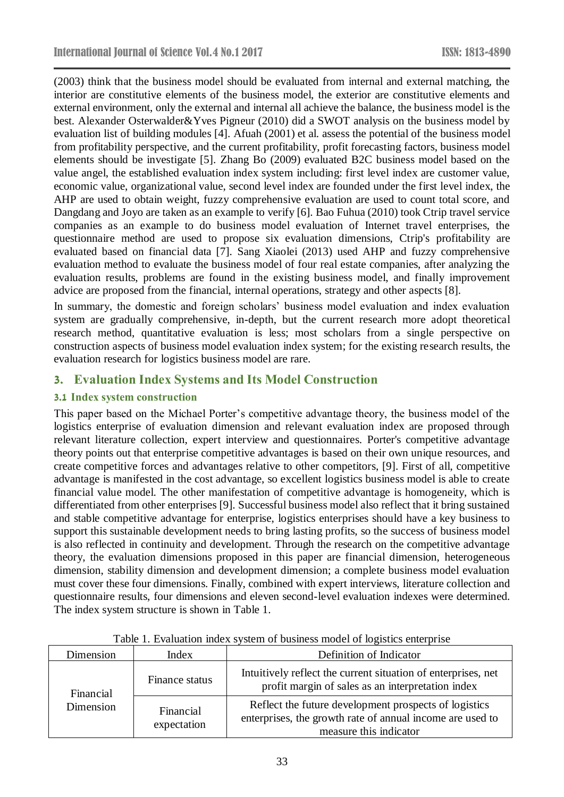(2003) think that the business model should be evaluated from internal and external matching, the interior are constitutive elements of the business model, the exterior are constitutive elements and external environment, only the external and internal all achieve the balance, the business model is the best. Alexander Osterwalder&Yves Pigneur (2010) did a SWOT analysis on the business model by evaluation list of building modules [4]. Afuah (2001) et al. assess the potential of the business model from profitability perspective, and the current profitability, profit forecasting factors, business model elements should be investigate [5]. Zhang Bo (2009) evaluated B2C business model based on the value angel, the established evaluation index system including: first level index are customer value, economic value, organizational value, second level index are founded under the first level index, the AHP are used to obtain weight, fuzzy comprehensive evaluation are used to count total score, and Dangdang and Joyo are taken as an example to verify [6]. Bao Fuhua (2010) took Ctrip travel service companies as an example to do business model evaluation of Internet travel enterprises, the questionnaire method are used to propose six evaluation dimensions, Ctrip's profitability are evaluated based on financial data [7]. Sang Xiaolei (2013) used AHP and fuzzy comprehensive evaluation method to evaluate the business model of four real estate companies, after analyzing the evaluation results, problems are found in the existing business model, and finally improvement advice are proposed from the financial, internal operations, strategy and other aspects [8].

In summary, the domestic and foreign scholars' business model evaluation and index evaluation system are gradually comprehensive, in-depth, but the current research more adopt theoretical research method, quantitative evaluation is less; most scholars from a single perspective on construction aspects of business model evaluation index system; for the existing research results, the evaluation research for logistics business model are rare.

# **3. Evaluation Index Systems and Its Model Construction**

### **3.1 Index system construction**

This paper based on the Michael Porter's competitive advantage theory, the business model of the logistics enterprise of evaluation dimension and relevant evaluation index are proposed through relevant literature collection, expert interview and questionnaires. Porter's competitive advantage theory points out that enterprise competitive advantages is based on their own unique resources, and create competitive forces and advantages relative to other competitors, [9]. First of all, competitive advantage is manifested in the cost advantage, so excellent logistics business model is able to create financial value model. The other manifestation of competitive advantage is homogeneity, which is differentiated from other enterprises [9]. Successful business model also reflect that it bring sustained and stable competitive advantage for enterprise, logistics enterprises should have a key business to support this sustainable development needs to bring lasting profits, so the success of business model is also reflected in continuity and development. Through the research on the competitive advantage theory, the evaluation dimensions proposed in this paper are financial dimension, heterogeneous dimension, stability dimension and development dimension; a complete business model evaluation must cover these four dimensions. Finally, combined with expert interviews, literature collection and questionnaire results, four dimensions and eleven second-level evaluation indexes were determined. The index system structure is shown in Table 1.

| Dimension              | Index                    | Definition of Indicator                                                                                                                      |  |
|------------------------|--------------------------|----------------------------------------------------------------------------------------------------------------------------------------------|--|
| Financial<br>Dimension | Finance status           | Intuitively reflect the current situation of enterprises, net<br>profit margin of sales as an interpretation index                           |  |
|                        | Financial<br>expectation | Reflect the future development prospects of logistics<br>enterprises, the growth rate of annual income are used to<br>measure this indicator |  |

Table 1. Evaluation index system of business model of logistics enterprise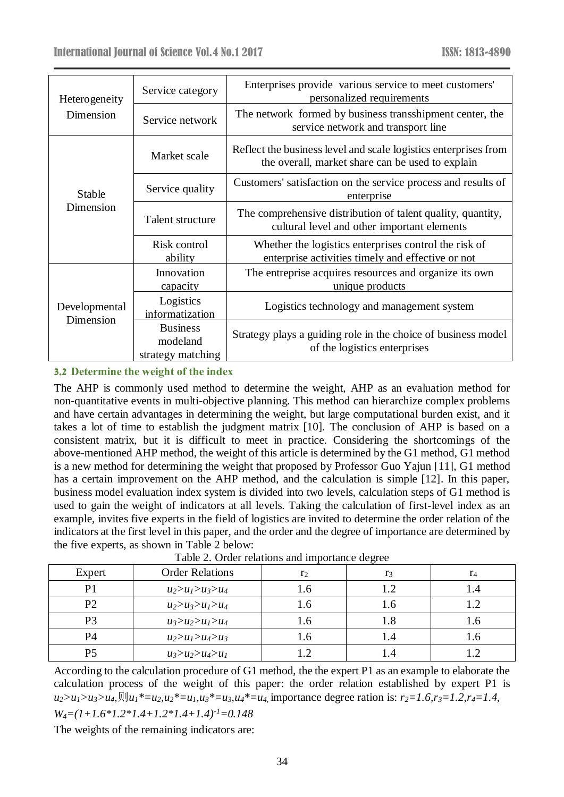| Heterogeneity<br>Dimension | Service category                                 | Enterprises provide various service to meet customers'<br>personalized requirements                                 |  |  |
|----------------------------|--------------------------------------------------|---------------------------------------------------------------------------------------------------------------------|--|--|
|                            | Service network                                  | The network formed by business transshipment center, the<br>service network and transport line                      |  |  |
| Stable<br>Dimension        | Market scale                                     | Reflect the business level and scale logistics enterprises from<br>the overall, market share can be used to explain |  |  |
|                            | Service quality                                  | Customers' satisfaction on the service process and results of<br>enterprise                                         |  |  |
|                            | Talent structure                                 | The comprehensive distribution of talent quality, quantity,<br>cultural level and other important elements          |  |  |
|                            | Risk control<br>ability                          | Whether the logistics enterprises control the risk of<br>enterprise activities timely and effective or not          |  |  |
| Developmental<br>Dimension | Innovation<br>capacity                           | The entreprise acquires resources and organize its own<br>unique products                                           |  |  |
|                            | Logistics<br>informatization                     | Logistics technology and management system                                                                          |  |  |
|                            | <b>Business</b><br>modeland<br>strategy matching | Strategy plays a guiding role in the choice of business model<br>of the logistics enterprises                       |  |  |

### **3.2 Determine the weight of the index**

The AHP is commonly used method to determine the weight, AHP as an evaluation method for non-quantitative events in multi-objective planning. This method can hierarchize complex problems and have certain advantages in determining the weight, but large computational burden exist, and it takes a lot of time to establish the judgment matrix [10]. The conclusion of AHP is based on a consistent matrix, but it is difficult to meet in practice. Considering the shortcomings of the above-mentioned AHP method, the weight of this article is determined by the G1 method, G1 method is a new method for determining the weight that proposed by Professor Guo Yajun [11], G1 method has a certain improvement on the AHP method, and the calculation is simple [12]. In this paper, business model evaluation index system is divided into two levels, calculation steps of G1 method is used to gain the weight of indicators at all levels. Taking the calculation of first-level index as an example, invites five experts in the field of logistics are invited to determine the order relation of the indicators at the first level in this paper, and the order and the degree of importance are determined by the five experts, as shown in Table 2 below:

| $1000$ $\mu$ . Order relations and importance degree |                         |                |                |      |  |
|------------------------------------------------------|-------------------------|----------------|----------------|------|--|
| Expert                                               | <b>Order Relations</b>  | r <sub>2</sub> | r <sub>3</sub> | r4   |  |
| D                                                    | $u_2 > u_1 > u_3 > u_4$ | $\mathbf{0}$ . |                | I .4 |  |
| P2                                                   | $u_2 > u_3 > u_1 > u_4$ | 1.0            | 1.0            |      |  |
| Р3                                                   | $u_3 > u_2 > u_1 > u_4$ | $\mathbf{0}$ . | 1.8            | .0،  |  |
| P4                                                   | $u_2 > u_1 > u_4 > u_3$ | 1.0            |                | 1.0  |  |
| P5                                                   | $u_3 > u_2 > u_4 > u_1$ |                |                |      |  |

Table 2. Order relations and importance degree

According to the calculation procedure of G1 method, the the expert P1 as an example to elaborate the calculation process of the weight of this paper: the order relation established by expert P1 is  $u_2>u_1>u_3>u_4$ ,  $\lim_{t\to u_2}$ ,  $u_2* = u_1, u_3* = u_3, u_4* = u_4$  importance degree ration is:  $r_2=1.6$ ,  $r_3=1.2$ ,  $r_4=1.4$ , *W4=(1+1.6\*1.2\*1.4+1.2\*1.4+1.4)-1=0.148*

The weights of the remaining indicators are: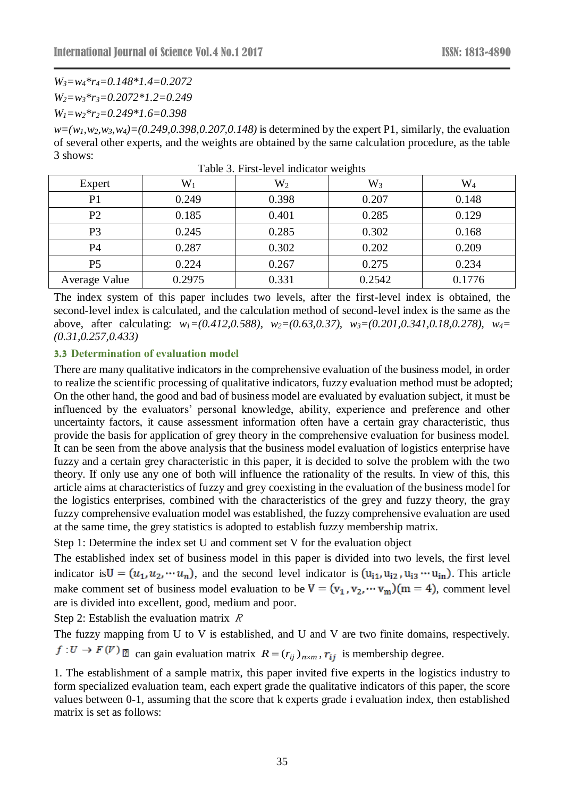*W3=w4\*r4=0.148\*1.4=0.2072* 

*W2=w3\*r3=0.2072\*1.2=0.249*

*W1=w2\*r2=0.249\*1.6=0.398*

 $w=(w_1, w_2, w_3, w_4)=(0.249, 0.398, 0.207, 0.148)$  is determined by the expert P1, similarly, the evaluation of several other experts, and the weights are obtained by the same calculation procedure, as the table 3 shows:

| Expert         | $\mathrm{W}_1$ | $\mathrm{W}_2$ | $W_3$  | $\rm W_4$ |
|----------------|----------------|----------------|--------|-----------|
| P <sub>1</sub> | 0.249          | 0.398          | 0.207  | 0.148     |
| P <sub>2</sub> | 0.185          | 0.401          | 0.285  | 0.129     |
| P <sub>3</sub> | 0.245          | 0.285          | 0.302  | 0.168     |
| P <sub>4</sub> | 0.287          | 0.302          | 0.202  | 0.209     |
| P <sub>5</sub> | 0.224          | 0.267          | 0.275  | 0.234     |
| Average Value  | 0.2975         | 0.331          | 0.2542 | 0.1776    |

Table 3. First-level indicator weights

The index system of this paper includes two levels, after the first-level index is obtained, the second-level index is calculated, and the calculation method of second-level index is the same as the above, after calculating: *w1=(0.412,0.588), w2=(0.63,0.37), w3=(0.201,0.341,0.18,0.278), w4= (0.31,0.257,0.433)*

#### **3.3 Determination of evaluation model**

There are many qualitative indicators in the comprehensive evaluation of the business model, in order to realize the scientific processing of qualitative indicators, fuzzy evaluation method must be adopted; On the other hand, the good and bad of business model are evaluated by evaluation subject, it must be influenced by the evaluators' personal knowledge, ability, experience and preference and other uncertainty factors, it cause assessment information often have a certain gray characteristic, thus provide the basis for application of grey theory in the comprehensive evaluation for business model. It can be seen from the above analysis that the business model evaluation of logistics enterprise have fuzzy and a certain grey characteristic in this paper, it is decided to solve the problem with the two theory. If only use any one of both will influence the rationality of the results. In view of this, this article aims at characteristics of fuzzy and grey coexisting in the evaluation of the business model for the logistics enterprises, combined with the characteristics of the grey and fuzzy theory, the gray fuzzy comprehensive evaluation model was established, the fuzzy comprehensive evaluation are used at the same time, the grey statistics is adopted to establish fuzzy membership matrix.

Step 1: Determine the index set U and comment set V for the evaluation object

The established index set of business model in this paper is divided into two levels, the first level indicator is  $U = (u_1, u_2, \cdots u_n)$ , and the second level indicator is  $(u_{i1}, u_{i2}, u_{i3} \cdots u_{in})$ . This article make comment set of business model evaluation to be  $V = (v_1, v_2, \dots, v_m)(m = 4)$ , comment level are is divided into excellent, good, medium and poor.

Step 2: Establish the evaluation matrix  $R$ 

The fuzzy mapping from U to V is established, and U and V are two finite domains, respectively.

can gain evaluation matrix  $R = (r_{ij})_{n \times m}$ ,  $r_{ij}$  is membership degree.

1. The establishment of a sample matrix, this paper invited five experts in the logistics industry to form specialized evaluation team, each expert grade the qualitative indicators of this paper, the score values between 0-1, assuming that the score that k experts grade i evaluation index, then established matrix is set as follows: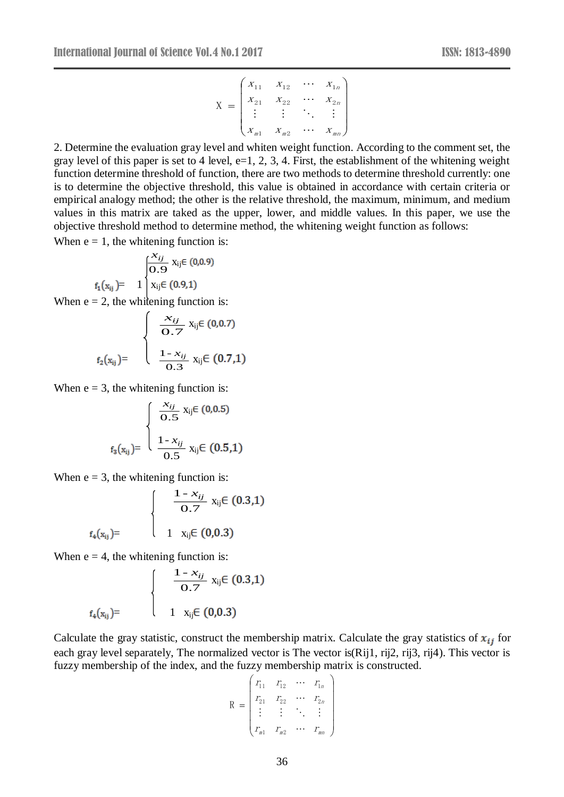$$
X = \begin{pmatrix} x_{11} & x_{12} & \cdots & x_{1n} \\ x_{21} & x_{22} & \cdots & x_{2n} \\ \vdots & \vdots & \ddots & \vdots \\ x_{m1} & x_{m2} & \cdots & x_{mn} \end{pmatrix}
$$

2. Determine the evaluation gray level and whiten weight function. According to the comment set, the gray level of this paper is set to 4 level,  $e=1, 2, 3, 4$ . First, the establishment of the whitening weight function determine threshold of function, there are two methods to determine threshold currently: one is to determine the objective threshold, this value is obtained in accordance with certain criteria or empirical analogy method; the other is the relative threshold, the maximum, minimum, and medium values in this matrix are taked as the upper, lower, and middle values. In this paper, we use the objective threshold method to determine method, the whitening weight function as follows:

When  $e = 1$ , the whitening function is:

$$
f_1(x_{ij}) = 1 \begin{cases} \frac{x_{ij}}{0.9} & x_{ij} \in (0,0.9) \\ x_{ij} \in (0.9,1) \end{cases}
$$

When  $e = 2$ , the whitening function is:

$$
f_2(x_{ij}) = \begin{cases} \frac{x_{ij}}{0.7} x_{ij} \in (0,0.7) \\ \frac{1 - x_{ij}}{0.3} x_{ij} \in (0.7,1) \end{cases}
$$

When  $e = 3$ , the whitening function is:

$$
f_3(x_{ij}) = \begin{cases} \frac{x_{ij}}{0.5} & x_{ij} \in (0,0.5) \\ \frac{1 - x_{ij}}{0.5} & x_{ij} \in (0.5,1) \end{cases}
$$

When  $e = 3$ , the whitening function is:

$$
f_4(x_{ij}) = \begin{cases} \frac{1 - x_{ij}}{0.7} & x_{ij} \in (0.3, 1) \\ 1 & x_{ij} \in (0.0.3) \end{cases}
$$

When  $e = 4$ , the whitening function is:

$$
f_4(x_{ij}) = \begin{cases} \frac{1 - x_{ij}}{0.7} & x_{ij} \in (0.3, 1) \\ 1 & x_{ij} \in (0.0.3) \end{cases}
$$

Calculate the gray statistic, construct the membership matrix. Calculate the gray statistics of  $x_{ij}$  for each gray level separately, The normalized vector is The vector is(Rij1, rij2, rij3, rij4). This vector is fuzzy membership of the index, and the fuzzy membership matrix is constructed.

$$
R = \begin{pmatrix} r_{11} & r_{12} & \cdots & r_{1n} \\ r_{21} & r_{22} & \cdots & r_{2n} \\ \vdots & \vdots & \ddots & \vdots \\ r_{m1} & r_{m2} & \cdots & r_{mn} \end{pmatrix}
$$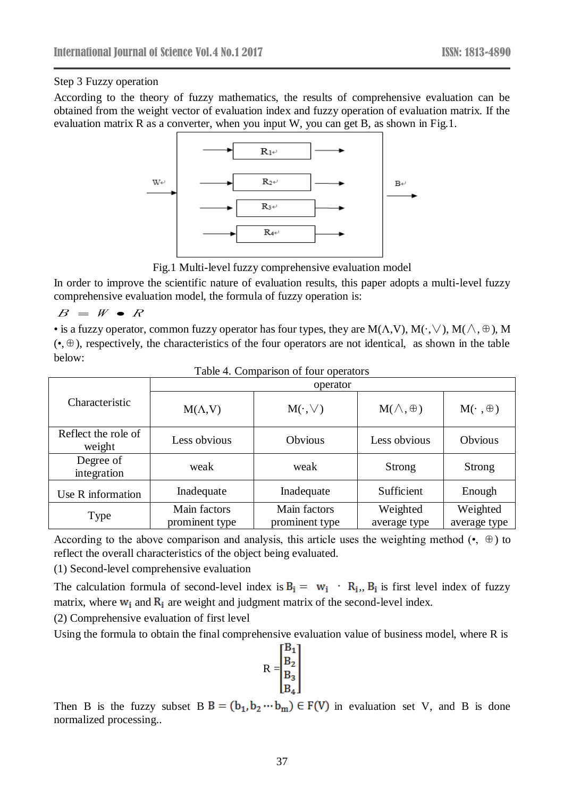Step 3 Fuzzy operation

According to the theory of fuzzy mathematics, the results of comprehensive evaluation can be obtained from the weight vector of evaluation index and fuzzy operation of evaluation matrix. If the evaluation matrix R as a converter, when you input W, you can get B, as shown in Fig.1.



Fig.1 Multi-level fuzzy comprehensive evaluation model

In order to improve the scientific nature of evaluation results, this paper adopts a multi-level fuzzy comprehensive evaluation model, the formula of fuzzy operation is:

#### $B \;=\; W \; \bullet \; R$

• is a fuzzy operator, common fuzzy operator has four types, they are M( $\Lambda$ , V), M( $\Lambda$ ,  $\Lambda$ ), M( $\Lambda$ ,  $\oplus$ ), M (•,⊕), respectively, the characteristics of the four operators are not identical, as shown in the table below:

|                               | operator                       |                                |                          |                          |  |
|-------------------------------|--------------------------------|--------------------------------|--------------------------|--------------------------|--|
| Characteristic                | $M(\Lambda, V)$                | $M(\cdot,\vee)$                | $M(\wedge,\oplus)$       | $M(\cdot,\oplus)$        |  |
| Reflect the role of<br>weight | Less obvious                   | Obvious                        | Less obvious             | <b>Obvious</b>           |  |
| Degree of<br>integration      | weak                           | weak                           | <b>Strong</b>            | Strong                   |  |
| Use R information             | Inadequate                     | Inadequate                     | Sufficient               | Enough                   |  |
| Type                          | Main factors<br>prominent type | Main factors<br>prominent type | Weighted<br>average type | Weighted<br>average type |  |

| Table 4. Comparison of four operators |  |
|---------------------------------------|--|
|                                       |  |

According to the above comparison and analysis, this article uses the weighting method  $(•, \oplus)$  to reflect the overall characteristics of the object being evaluated.

(1) Second-level comprehensive evaluation

The calculation formula of second-level index is  $B_i = w_i + R_i$ ,  $B_i$  is first level index of fuzzy matrix, where  $w_i$  and  $R_i$  are weight and judgment matrix of the second-level index.

(2) Comprehensive evaluation of first level

Using the formula to obtain the final comprehensive evaluation value of business model, where R is

$$
R = \begin{bmatrix} B_1 \\ B_2 \\ B_3 \\ B_4 \end{bmatrix}
$$

Then B is the fuzzy subset  $B = (b_1, b_2 \cdots b_m) \in F(V)$  in evaluation set V, and B is done normalized processing..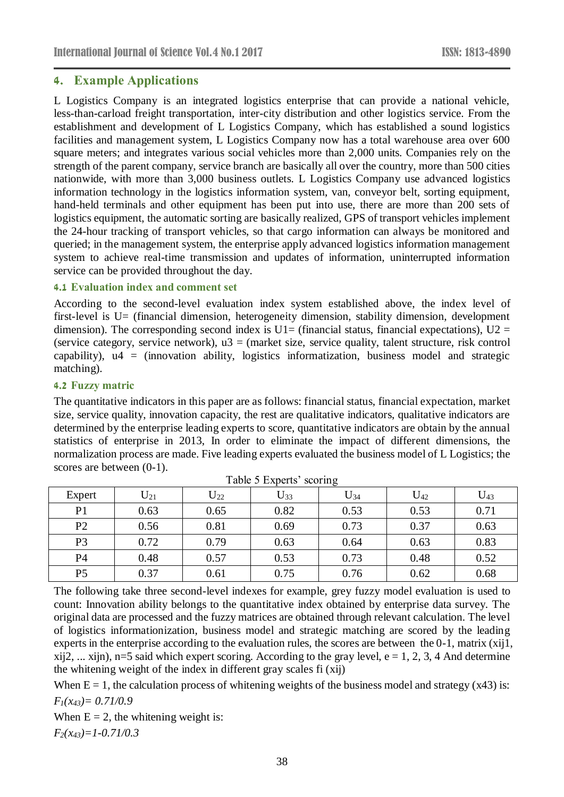# **4. Example Applications**

L Logistics Company is an integrated logistics enterprise that can provide a national vehicle, less-than-carload freight transportation, inter-city distribution and other logistics service. From the establishment and development of L Logistics Company, which has established a sound logistics facilities and management system, L Logistics Company now has a total warehouse area over 600 square meters; and integrates various social vehicles more than 2,000 units. Companies rely on the strength of the parent company, service branch are basically all over the country, more than 500 cities nationwide, with more than 3,000 business outlets. L Logistics Company use advanced logistics information technology in the logistics information system, van, conveyor belt, sorting equipment, hand-held terminals and other equipment has been put into use, there are more than 200 sets of logistics equipment, the automatic sorting are basically realized, GPS of transport vehicles implement the 24-hour tracking of transport vehicles, so that cargo information can always be monitored and queried; in the management system, the enterprise apply advanced logistics information management system to achieve real-time transmission and updates of information, uninterrupted information service can be provided throughout the day.

### **4.1 Evaluation index and comment set**

According to the second-level evaluation index system established above, the index level of first-level is U= (financial dimension, heterogeneity dimension, stability dimension, development dimension). The corresponding second index is  $U1=$  (financial status, financial expectations),  $U2 =$ (service category, service network),  $u3 =$  (market size, service quality, talent structure, risk control capability),  $u4 = (innovation ability, logistics information, business model and strategic$ matching).

### **4.2 Fuzzy matric**

The quantitative indicators in this paper are as follows: financial status, financial expectation, market size, service quality, innovation capacity, the rest are qualitative indicators, qualitative indicators are determined by the enterprise leading experts to score, quantitative indicators are obtain by the annual statistics of enterprise in 2013, In order to eliminate the impact of different dimensions, the normalization process are made. Five leading experts evaluated the business model of L Logistics; the scores are between (0-1).

|                | Twore of Lapsing Secriting |          |          |          |          |               |  |  |
|----------------|----------------------------|----------|----------|----------|----------|---------------|--|--|
| Expert         | $U_{21}$                   | $U_{22}$ | $U_{33}$ | $U_{34}$ | $U_{42}$ | $\rm{U_{43}}$ |  |  |
| P <sub>1</sub> | 0.63                       | 0.65     | 0.82     | 0.53     | 0.53     | 0.71          |  |  |
| P <sub>2</sub> | 0.56                       | 0.81     | 0.69     | 0.73     | 0.37     | 0.63          |  |  |
| P <sub>3</sub> | 0.72                       | 0.79     | 0.63     | 0.64     | 0.63     | 0.83          |  |  |
| P4             | 0.48                       | 0.57     | 0.53     | 0.73     | 0.48     | 0.52          |  |  |
| P <sub>5</sub> | 0.37                       | 0.61     | 0.75     | 0.76     | 0.62     | 0.68          |  |  |

Table 5 Experts' scoring

The following take three second-level indexes for example, grey fuzzy model evaluation is used to count: Innovation ability belongs to the quantitative index obtained by enterprise data survey. The original data are processed and the fuzzy matrices are obtained through relevant calculation. The level of logistics informationization, business model and strategic matching are scored by the leading experts in the enterprise according to the evaluation rules, the scores are between the 0-1, matrix (xij1, xij2, ... xijn), n=5 said which expert scoring. According to the gray level,  $e = 1, 2, 3, 4$  And determine the whitening weight of the index in different gray scales fi (xij)

When  $E = 1$ , the calculation process of whitening weights of the business model and strategy (x43) is: *F1(x43)= 0.71/0.9* 

When  $E = 2$ , the whitening weight is:

*F2(x43)=1-0.71/0.3*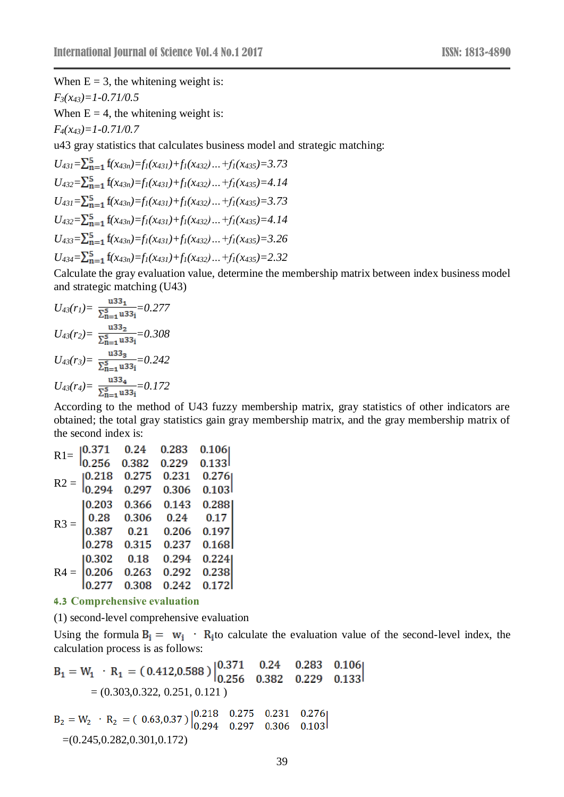When  $E = 3$ , the whitening weight is: *F3(x43)=1-0.71/0.5*

When  $E = 4$ , the whitening weight is:

*F4(x43)=1-0.71/0.7*

u43 gray statistics that calculates business model and strategic matching:

$$
U_{431} = \sum_{n=1}^{5} f(x_{43n}) = f_1(x_{431}) + f_1(x_{432}) \dots + f_1(x_{435}) = 3.73
$$
  
\n
$$
U_{432} = \sum_{n=1}^{5} f(x_{43n}) = f_1(x_{431}) + f_1(x_{432}) \dots + f_1(x_{435}) = 4.14
$$
  
\n
$$
U_{431} = \sum_{n=1}^{5} f(x_{43n}) = f_1(x_{431}) + f_1(x_{432}) \dots + f_1(x_{435}) = 3.73
$$
  
\n
$$
U_{432} = \sum_{n=1}^{5} f(x_{43n}) = f_1(x_{431}) + f_1(x_{432}) \dots + f_1(x_{435}) = 4.14
$$
  
\n
$$
U_{433} = \sum_{n=1}^{5} f(x_{43n}) = f_1(x_{431}) + f_1(x_{432}) \dots + f_1(x_{435}) = 3.26
$$
  
\n
$$
U_{434} = \sum_{n=1}^{5} f(x_{43n}) = f_1(x_{431}) + f_1(x_{432}) \dots + f_1(x_{435}) = 2.32
$$

Calculate the gray evaluation value, determine the membership matrix between index business model and strategic matching (U43)

$$
U_{43}(r_1) = \frac{133}{\sum_{n=1}^{5} 133} = 0.277
$$
  
\n
$$
U_{43}(r_2) = \frac{133}{\sum_{n=1}^{5} 133} = 0.308
$$
  
\n
$$
U_{43}(r_3) = \frac{133}{\sum_{n=1}^{5} 133} = 0.242
$$
  
\n
$$
U_{43}(r_4) = \frac{133}{\sum_{n=1}^{5} 133} = 0.172
$$

According to the method of U43 fuzzy membership matrix, gray statistics of other indicators are obtained; the total gray statistics gain gray membership matrix, and the gray membership matrix of the second index is:

| $R1=$  | 0.371  | 0.24  | 0.283 | 0.106  |  |
|--------|--------|-------|-------|--------|--|
|        | 0.256  | 0.382 | 0.229 | 0.133  |  |
| $R2 =$ | 0.218  | 0.275 | 0.231 | 0.276  |  |
|        | 0.294  | 0.297 | 0.306 | 0.103  |  |
| $R3 =$ | 0.203  | 0.366 | 0.143 | 0.288  |  |
|        | 0.28   | 0.306 | 0.24  | 0.17   |  |
|        | 0.387  | 0.21  | 0.206 | 0.197  |  |
|        | 0.278  | 0.315 | 0.237 | 0.168  |  |
| $R4 =$ | 10.302 | 0.18  | 0.294 | 0.224  |  |
|        | 0.206  | 0.263 | 0.292 | 0.238  |  |
|        | ).277  | 0.308 | 0.242 | 0.1721 |  |
|        |        |       |       |        |  |

#### **4.3 Comprehensive evaluation**

(1) second-level comprehensive evaluation

Using the formula  $B_i = w_i + R_i$  to calculate the evaluation value of the second-level index, the calculation process is as follows:

$$
B_1 = W_1 \cdot R_1 = (0.412, 0.588) \begin{vmatrix} 0.371 & 0.24 & 0.283 & 0.106 \\ 0.256 & 0.382 & 0.229 & 0.133 \end{vmatrix}
$$
  
= (0.303, 0.322, 0.251, 0.121)  

$$
B_2 = W_2 \cdot R_2 = (0.63, 0.37) \begin{vmatrix} 0.218 & 0.275 & 0.231 & 0.276 \\ 0.294 & 0.297 & 0.306 & 0.103 \end{vmatrix}
$$

 $=(0.245, 0.282, 0.301, 0.172)$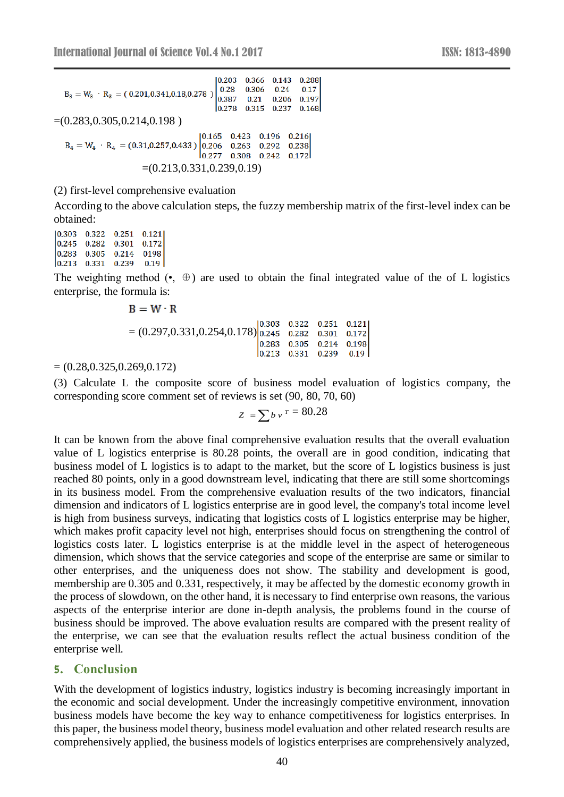$10.203$ 0.366 0.143 0.288 0.28 0.306 0.24 0.17  $B_3 = W_3 \cdot R_3 = (0.201, 0.341, 0.18, 0.278)$ 0.387 0.21 0.206 0.197  $\begin{bmatrix} 0.278 & 0.315 & 0.237 & 0.168 \end{bmatrix}$  $=(0.283, 0.305, 0.214, 0.198)$  $[0.165 \quad 0.423 \quad 0.196]$ 0.216  $B_4 = W_4 \cdot R_4 = (0.31, 0.257, 0.433) |0.206 \t 0.263 \t 0.292$ 0.238  $\begin{bmatrix} 0.277 & 0.308 & 0.242 & 0.172 \end{bmatrix}$  $=(0.213, 0.331, 0.239, 0.19)$ 

(2) first-level comprehensive evaluation

According to the above calculation steps, the fuzzy membership matrix of the first-level index can be obtained:

 $[0.303 \quad 0.322 \quad 0.251]$ 0.121  $0.245$  0.282 0.301 0.172  $0.283$  0.305 0.214 0198  $\begin{array}{cccc} 0.213 & 0.331 & 0.239 \end{array}$  $0.19$ 

The weighting method  $(\bullet, \oplus)$  are used to obtain the final integrated value of the of L logistics enterprise, the formula is:

$$
B = W \cdot R
$$
  
= (0.297,0.331,0.254,0.178)
$$
\begin{bmatrix} 0.303 & 0.322 & 0.251 & 0.121 \\ 0.245 & 0.282 & 0.301 & 0.172 \\ 0.283 & 0.305 & 0.214 & 0.198 \\ 0.213 & 0.331 & 0.239 & 0.19 \end{bmatrix}
$$

 $= (0.28, 0.325, 0.269, 0.172)$ 

(3) Calculate L the composite score of business model evaluation of logistics company, the corresponding score comment set of reviews is set (90, 80, 70, 60)

$$
z = \sum b v^r = 80.28
$$

It can be known from the above final comprehensive evaluation results that the overall evaluation value of L logistics enterprise is 80.28 points, the overall are in good condition, indicating that business model of L logistics is to adapt to the market, but the score of L logistics business is just reached 80 points, only in a good downstream level, indicating that there are still some shortcomings in its business model. From the comprehensive evaluation results of the two indicators, financial dimension and indicators of L logistics enterprise are in good level, the company's total income level is high from business surveys, indicating that logistics costs of L logistics enterprise may be higher, which makes profit capacity level not high, enterprises should focus on strengthening the control of logistics costs later. L logistics enterprise is at the middle level in the aspect of heterogeneous dimension, which shows that the service categories and scope of the enterprise are same or similar to other enterprises, and the uniqueness does not show. The stability and development is good, membership are 0.305 and 0.331, respectively, it may be affected by the domestic economy growth in the process of slowdown, on the other hand, it is necessary to find enterprise own reasons, the various aspects of the enterprise interior are done in-depth analysis, the problems found in the course of business should be improved. The above evaluation results are compared with the present reality of the enterprise, we can see that the evaluation results reflect the actual business condition of the enterprise well.

#### **5. Conclusion**

With the development of logistics industry, logistics industry is becoming increasingly important in the economic and social development. Under the increasingly competitive environment, innovation business models have become the key way to enhance competitiveness for logistics enterprises. In this paper, the business model theory, business model evaluation and other related research results are comprehensively applied, the business models of logistics enterprises are comprehensively analyzed,